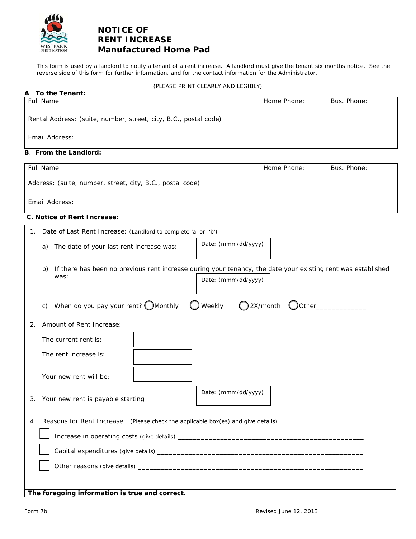

# **NOTICE OF RENT INCREASE Manufactured Home Pad**

This form is used by a landlord to notify a tenant of a rent increase. A landlord must give the tenant six months notice. See the reverse side of this form for further information, and for the contact information for the Administrator.

## (PLEASE PRINT CLEARLY AND LEGIBLY)

| A. To the Tenant:                                                                                                                                                                                                                                                           |             |             |
|-----------------------------------------------------------------------------------------------------------------------------------------------------------------------------------------------------------------------------------------------------------------------------|-------------|-------------|
| Full Name:                                                                                                                                                                                                                                                                  | Home Phone: | Bus. Phone: |
|                                                                                                                                                                                                                                                                             |             |             |
| Rental Address: (suite, number, street, city, B.C., postal code)                                                                                                                                                                                                            |             |             |
| Email Address:                                                                                                                                                                                                                                                              |             |             |
| <b>B.</b> From the Landlord:                                                                                                                                                                                                                                                |             |             |
| Full Name:                                                                                                                                                                                                                                                                  | Home Phone: | Bus. Phone: |
| Address: (suite, number, street, city, B.C., postal code)                                                                                                                                                                                                                   |             |             |
| Email Address:                                                                                                                                                                                                                                                              |             |             |
| C. Notice of Rent Increase:                                                                                                                                                                                                                                                 |             |             |
|                                                                                                                                                                                                                                                                             |             |             |
| Date of Last Rent Increase: (Landlord to complete 'a' or 'b')<br>1.                                                                                                                                                                                                         |             |             |
| Date: (mmm/dd/yyyy)<br>The date of your last rent increase was:<br>a)                                                                                                                                                                                                       |             |             |
| If there has been no previous rent increase during your tenancy, the date your existing rent was established<br>b)<br>was:<br>Date: (mmm/dd/yyyy)<br>When do you pay your rent? $\bigcirc$ Monthly<br>$\bigcup$ Weekly<br>$Q$ 2X/month<br>$\bigcup$ Other $\_\_\_\_\$<br>C) |             |             |
| Amount of Rent Increase:<br>2.                                                                                                                                                                                                                                              |             |             |
|                                                                                                                                                                                                                                                                             |             |             |
| The current rent is:                                                                                                                                                                                                                                                        |             |             |
| The rent increase is:                                                                                                                                                                                                                                                       |             |             |
| Your new rent will be:                                                                                                                                                                                                                                                      |             |             |
| Date: (mmm/dd/yyyy)<br>3. Your new rent is payable starting                                                                                                                                                                                                                 |             |             |
| Reasons for Rent Increase: (Please check the applicable box(es) and give details)<br>4.                                                                                                                                                                                     |             |             |
|                                                                                                                                                                                                                                                                             |             |             |
|                                                                                                                                                                                                                                                                             |             |             |
|                                                                                                                                                                                                                                                                             |             |             |
|                                                                                                                                                                                                                                                                             |             |             |
| The foregoing information is true and correct.                                                                                                                                                                                                                              |             |             |